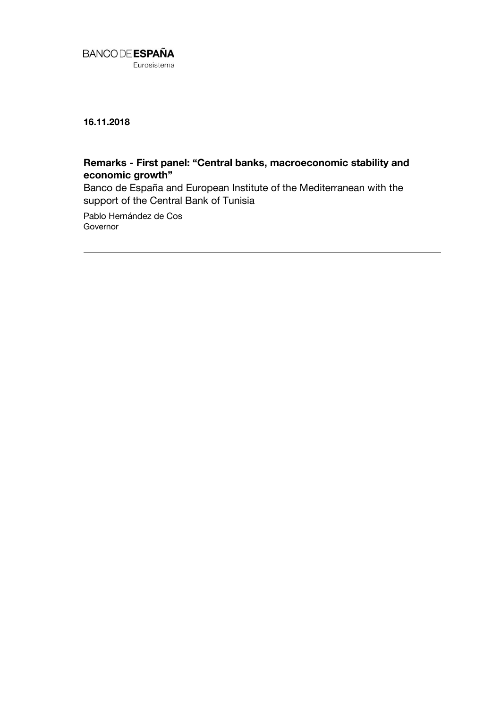

**16.11.2018**

## **Remarks - First panel: "Central banks, macroeconomic stability and economic growth"**

Banco de España and European Institute of the Mediterranean with the support of the Central Bank of Tunisia

Pablo Hernández de Cos Governor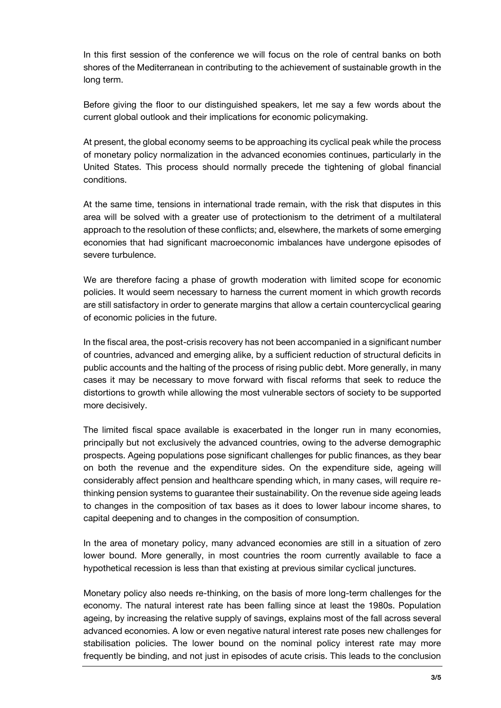In this first session of the conference we will focus on the role of central banks on both shores of the Mediterranean in contributing to the achievement of sustainable growth in the long term.

Before giving the floor to our distinguished speakers, let me say a few words about the current global outlook and their implications for economic policymaking.

At present, the global economy seems to be approaching its cyclical peak while the process of monetary policy normalization in the advanced economies continues, particularly in the United States. This process should normally precede the tightening of global financial conditions.

At the same time, tensions in international trade remain, with the risk that disputes in this area will be solved with a greater use of protectionism to the detriment of a multilateral approach to the resolution of these conflicts; and, elsewhere, the markets of some emerging economies that had significant macroeconomic imbalances have undergone episodes of severe turbulence.

We are therefore facing a phase of growth moderation with limited scope for economic policies. It would seem necessary to harness the current moment in which growth records are still satisfactory in order to generate margins that allow a certain countercyclical gearing of economic policies in the future.

In the fiscal area, the post-crisis recovery has not been accompanied in a significant number of countries, advanced and emerging alike, by a sufficient reduction of structural deficits in public accounts and the halting of the process of rising public debt. More generally, in many cases it may be necessary to move forward with fiscal reforms that seek to reduce the distortions to growth while allowing the most vulnerable sectors of society to be supported more decisively.

The limited fiscal space available is exacerbated in the longer run in many economies, principally but not exclusively the advanced countries, owing to the adverse demographic prospects. Ageing populations pose significant challenges for public finances, as they bear on both the revenue and the expenditure sides. On the expenditure side, ageing will considerably affect pension and healthcare spending which, in many cases, will require rethinking pension systems to guarantee their sustainability. On the revenue side ageing leads to changes in the composition of tax bases as it does to lower labour income shares, to capital deepening and to changes in the composition of consumption.

In the area of monetary policy, many advanced economies are still in a situation of zero lower bound. More generally, in most countries the room currently available to face a hypothetical recession is less than that existing at previous similar cyclical junctures.

Monetary policy also needs re-thinking, on the basis of more long-term challenges for the economy. The natural interest rate has been falling since at least the 1980s. Population ageing, by increasing the relative supply of savings, explains most of the fall across several advanced economies. A low or even negative natural interest rate poses new challenges for stabilisation policies. The lower bound on the nominal policy interest rate may more frequently be binding, and not just in episodes of acute crisis. This leads to the conclusion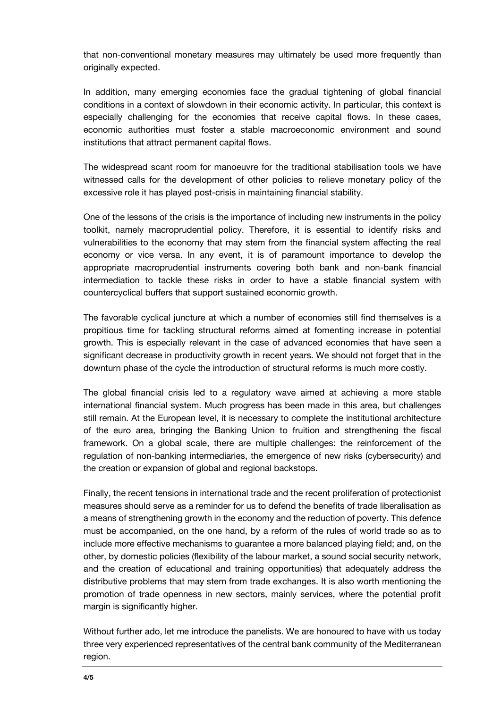that non-conventional monetary measures may ultimately be used more frequently than originally expected.

In addition, many emerging economies face the gradual tightening of global financial conditions in a context of slowdown in their economic activity. In particular, this context is especially challenging for the economies that receive capital flows. In these cases, economic authorities must foster a stable macroeconomic environment and sound institutions that attract permanent capital flows.

The widespread scant room for manoeuvre for the traditional stabilisation tools we have witnessed calls for the development of other policies to relieve monetary policy of the excessive role it has played post-crisis in maintaining financial stability.

One of the lessons of the crisis is the importance of including new instruments in the policy toolkit, namely macroprudential policy. Therefore, it is essential to identify risks and vulnerabilities to the economy that may stem from the financial system affecting the real economy or vice versa. In any event, it is of paramount importance to develop the appropriate macroprudential instruments covering both bank and non-bank financial intermediation to tackle these risks in order to have a stable financial system with countercyclical buffers that support sustained economic growth.

The favorable cyclical juncture at which a number of economies still find themselves is a propitious time for tackling structural reforms aimed at fomenting increase in potential growth. This is especially relevant in the case of advanced economies that have seen a significant decrease in productivity growth in recent years. We should not forget that in the downturn phase of the cycle the introduction of structural reforms is much more costly.

The global financial crisis led to a regulatory wave aimed at achieving a more stable international financial system. Much progress has been made in this area, but challenges still remain. At the European level, it is necessary to complete the institutional architecture of the euro area, bringing the Banking Union to fruition and strengthening the fiscal framework. On a global scale, there are multiple challenges: the reinforcement of the regulation of non-banking intermediaries, the emergence of new risks (cybersecurity) and the creation or expansion of global and regional backstops.

Finally, the recent tensions in international trade and the recent proliferation of protectionist measures should serve as a reminder for us to defend the benefits of trade liberalisation as a means of strengthening growth in the economy and the reduction of poverty. This defence must be accompanied, on the one hand, by a reform of the rules of world trade so as to include more effective mechanisms to guarantee a more balanced playing field; and, on the other, by domestic policies (flexibility of the labour market, a sound social security network, and the creation of educational and training opportunities) that adequately address the distributive problems that may stem from trade exchanges. It is also worth mentioning the promotion of trade openness in new sectors, mainly services, where the potential profit margin is significantly higher.

Without further ado, let me introduce the panelists. We are honoured to have with us today three very experienced representatives of the central bank community of the Mediterranean region.